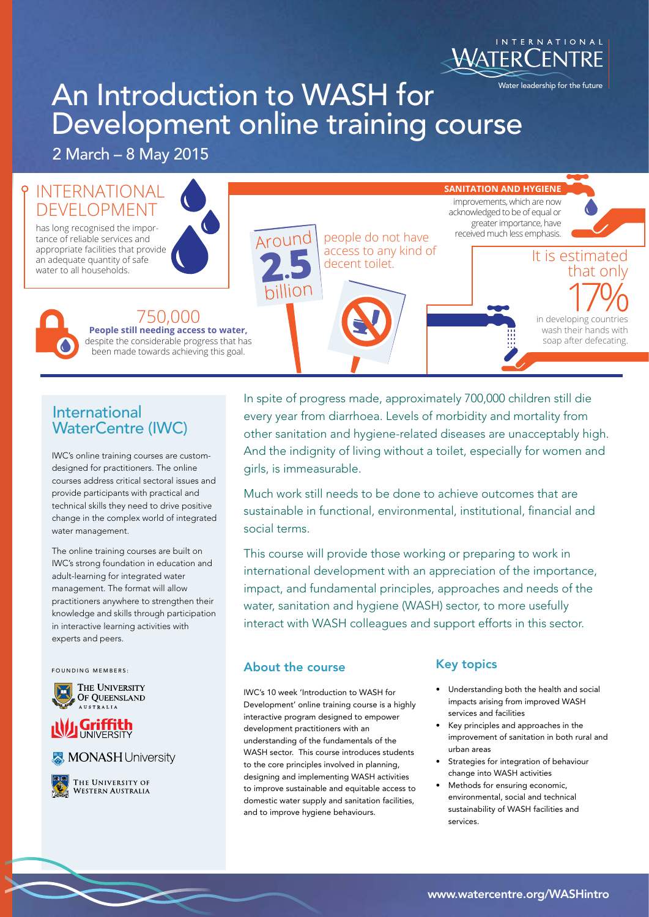

# An Introduction to WASH for Development online training course

2 March – 8 May 2015

#### INTERNATIONAL **SANITATION AND HYGIENE** improvements, which are now DEVELOPMENT acknowledged to be of equal or greater importance, have has long recognised the imporreceived much less emphasis. Arounc people do not have tance of reliable services and appropriate facilities that provide access to any kind of decent toilet.<br>decent toilet. **It is estimated** an adequate quantity of safe water to all households. that only nillion 750,000 in developing countries **People still needing access to water,** wash their hands with soap after defecating. despite the considerable progress that has been made towards achieving this goal.

# International WaterCentre (IWC)

IWC's online training courses are customdesigned for practitioners. The online courses address critical sectoral issues and provide participants with practical and technical skills they need to drive positive change in the complex world of integrated water management.

The online training courses are built on IWC's strong foundation in education and adult-learning for integrated water management. The format will allow practitioners anywhere to strengthen their knowledge and skills through participation in interactive learning activities with experts and peers.

FOUNDING MEMBERS:



# **Griffith**





In spite of progress made, approximately 700,000 children still die every year from diarrhoea. Levels of morbidity and mortality from other sanitation and hygiene-related diseases are unacceptably high. And the indignity of living without a toilet, especially for women and girls, is immeasurable.

Much work still needs to be done to achieve outcomes that are sustainable in functional, environmental, institutional, financial and social terms.

This course will provide those working or preparing to work in international development with an appreciation of the importance, impact, and fundamental principles, approaches and needs of the water, sanitation and hygiene (WASH) sector, to more usefully interact with WASH colleagues and support efforts in this sector.

### About the course

IWC's 10 week 'Introduction to WASH for Development' online training course is a highly interactive program designed to empower development practitioners with an understanding of the fundamentals of the WASH sector. This course introduces students to the core principles involved in planning, designing and implementing WASH activities to improve sustainable and equitable access to domestic water supply and sanitation facilities, and to improve hygiene behaviours.

## Key topics

- Understanding both the health and social impacts arising from improved WASH services and facilities
- Key principles and approaches in the improvement of sanitation in both rural and urban areas
- Strategies for integration of behaviour change into WASH activities
- Methods for ensuring economic, environmental, social and technical sustainability of WASH facilities and services.